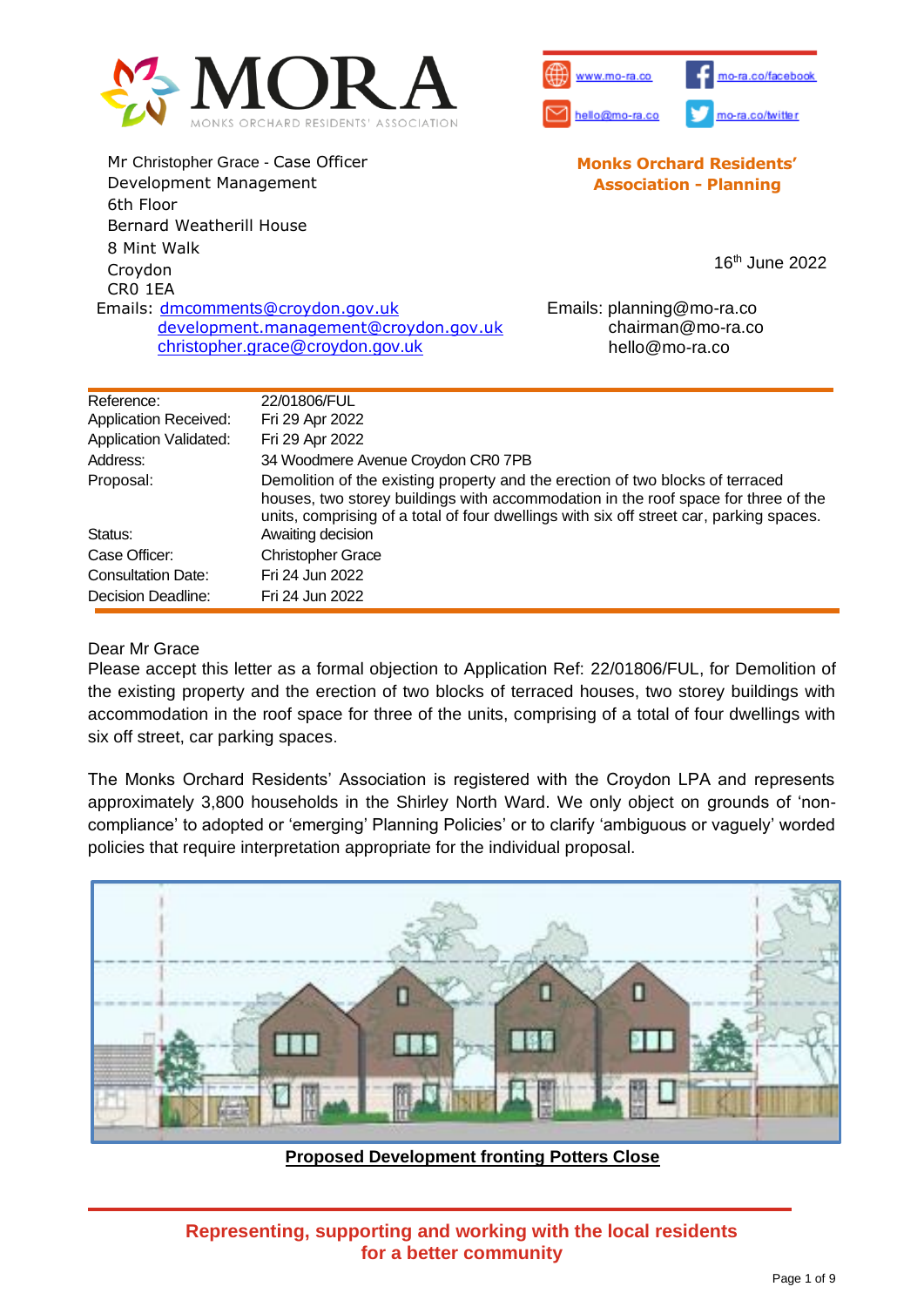



**Monks Orchard Residents' Association - Planning**

Mr Christopher Grace - Case Officer Development Management 6th Floor Bernard Weatherill House 8 Mint Walk Croydon CR0 1EA 16 th June 2022 Emails: dmcomments[@croydon.gov.uk](mailto:dmcomments@croydon.gov.uk) [development.management@croydon.gov.uk](mailto:development.management@croydon.gov.uk) christopher.grace@croydon.gov.uk Emails: planning@mo-ra.co chairman@mo-ra.co hello@mo-ra.co

| 22/01806/FUL                                                                                                                                                                                                                                                    |
|-----------------------------------------------------------------------------------------------------------------------------------------------------------------------------------------------------------------------------------------------------------------|
| Fri 29 Apr 2022                                                                                                                                                                                                                                                 |
| Fri 29 Apr 2022                                                                                                                                                                                                                                                 |
| 34 Woodmere Avenue Croydon CR0 7PB                                                                                                                                                                                                                              |
| Demolition of the existing property and the erection of two blocks of terraced<br>houses, two storey buildings with accommodation in the roof space for three of the<br>units, comprising of a total of four dwellings with six off street car, parking spaces. |
| Awaiting decision                                                                                                                                                                                                                                               |
| <b>Christopher Grace</b>                                                                                                                                                                                                                                        |
| Fri 24 Jun 2022                                                                                                                                                                                                                                                 |
| Fri 24 Jun 2022                                                                                                                                                                                                                                                 |
|                                                                                                                                                                                                                                                                 |

#### Dear Mr Grace

Please accept this letter as a formal objection to Application Ref: 22/01806/FUL, for Demolition of the existing property and the erection of two blocks of terraced houses, two storey buildings with accommodation in the roof space for three of the units, comprising of a total of four dwellings with six off street, car parking spaces.

The Monks Orchard Residents' Association is registered with the Croydon LPA and represents approximately 3,800 households in the Shirley North Ward. We only object on grounds of 'noncompliance' to adopted or 'emerging' Planning Policies' or to clarify 'ambiguous or vaguely' worded policies that require interpretation appropriate for the individual proposal.



**Proposed Development fronting Potters Close**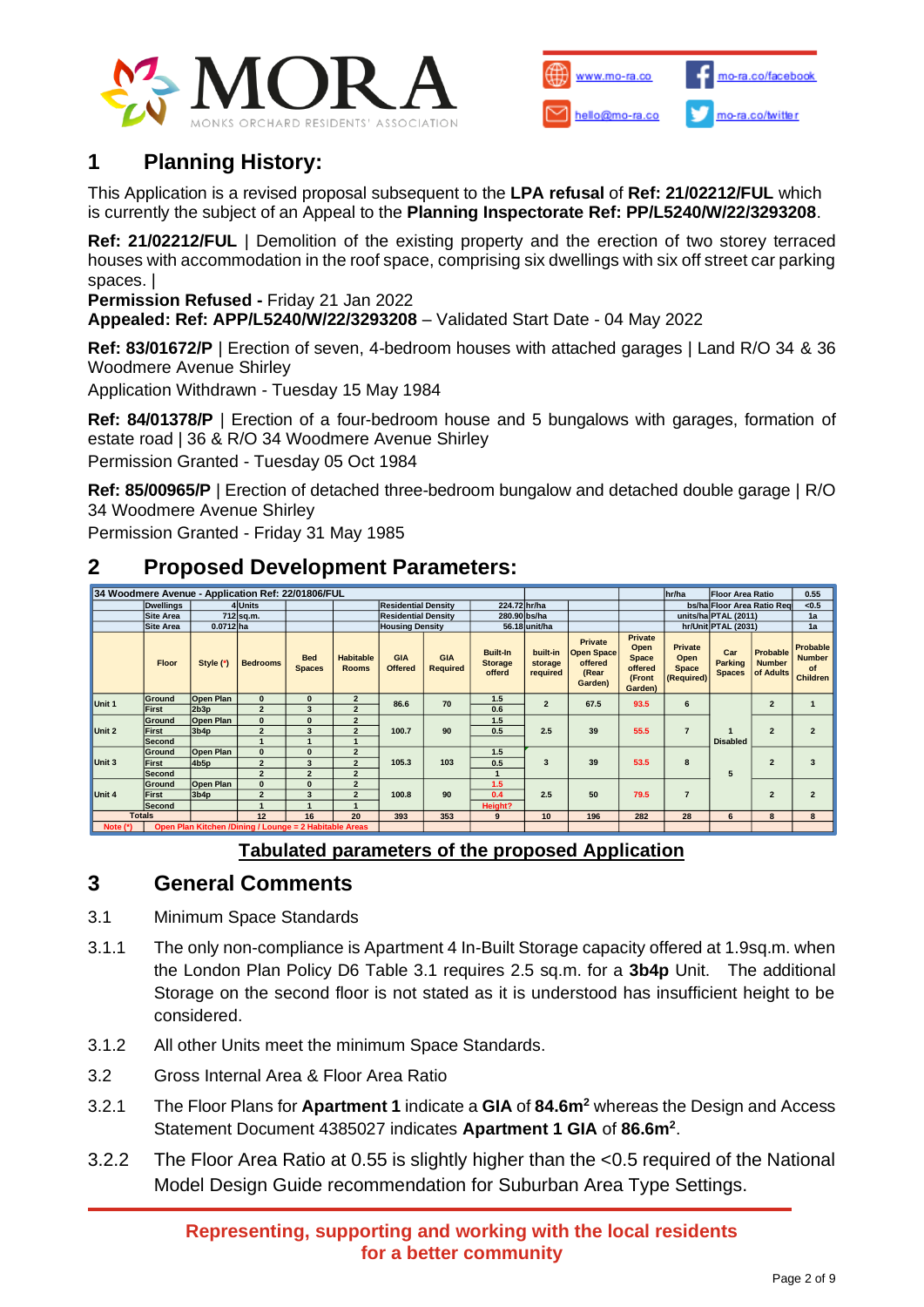



# **1 Planning History:**

This Application is a revised proposal subsequent to the **LPA refusal** of **Ref: 21/02212/FUL** which is currently the subject of an Appeal to the **Planning Inspectorate Ref: PP/L5240/W/22/3293208**.

**Ref: 21/02212/FUL** | Demolition of the existing property and the erection of two storey terraced houses with accommodation in the roof space, comprising six dwellings with six off street car parking spaces. |

**Permission Refused -** Friday 21 Jan 2022

**Appealed: Ref: APP/L5240/W/22/3293208** – Validated Start Date - 04 May 2022

**Ref: 83/01672/P** | Erection of seven, 4-bedroom houses with attached garages | Land R/O 34 & 36 Woodmere Avenue Shirley

Application Withdrawn - Tuesday 15 May 1984

**Ref: 84/01378/P** | Erection of a four-bedroom house and 5 bungalows with garages, formation of estate road | 36 & R/O 34 Woodmere Avenue Shirley

Permission Granted - Tuesday 05 Oct 1984

**Ref: 85/00965/P** | Erection of detached three-bedroom bungalow and detached double garage | R/O 34 Woodmere Avenue Shirley

Permission Granted - Friday 31 May 1985

# **2 Proposed Development Parameters:**

| 34 Woodmere Avenue - Application Ref: 22/01806/FUL                   |                  |                  |                          |                             |                                            |                            |                               |                                             |                                 |                                                                    |                                                                 | hr/ha                                         | <b>Floor Area Ratio</b>         |                                        | 0.55                                               |
|----------------------------------------------------------------------|------------------|------------------|--------------------------|-----------------------------|--------------------------------------------|----------------------------|-------------------------------|---------------------------------------------|---------------------------------|--------------------------------------------------------------------|-----------------------------------------------------------------|-----------------------------------------------|---------------------------------|----------------------------------------|----------------------------------------------------|
| 4Units<br><b>Dwellings</b>                                           |                  |                  |                          |                             | 224.72 hr/ha<br><b>Residential Density</b> |                            |                               |                                             |                                 |                                                                    | bs/ha Floor Area Ratio Reg                                      |                                               | < 0.5                           |                                        |                                                    |
|                                                                      | <b>Site Area</b> | 712 sq.m.        |                          |                             |                                            | <b>Residential Density</b> |                               | 280.90 bs/ha                                |                                 |                                                                    |                                                                 | units/ha PTAL (2011)                          |                                 |                                        | 1a                                                 |
|                                                                      | Site Area        | $0.0712$ ha      |                          |                             |                                            | <b>Housing Density</b>     |                               | 56.18 unit/ha                               |                                 |                                                                    |                                                                 | hr/Unit PTAL (2031)                           |                                 | 1a                                     |                                                    |
|                                                                      | <b>Floor</b>     | Style (*)        | <b>Bedrooms</b>          | <b>Bed</b><br><b>Spaces</b> | <b>Habitable</b><br><b>Rooms</b>           | GIA<br><b>Offered</b>      | <b>GIA</b><br><b>Required</b> | <b>Built-In</b><br><b>Storage</b><br>offerd | built-in<br>storage<br>required | <b>Private</b><br><b>Open Space</b><br>offered<br>(Rear<br>Garden) | Private<br>Open<br><b>Space</b><br>offered<br>(Front<br>Garden) | Private<br>Open<br><b>Space</b><br>(Required) | Car<br>Parking<br><b>Spaces</b> | Probable<br><b>Number</b><br>of Adults | <b>Probable</b><br><b>Number</b><br>of<br>Children |
| Unit 1                                                               | Ground           | <b>Open Plan</b> | $\bf{0}$                 | $\bf{0}$                    | $\overline{2}$                             | 86.6                       | 70                            | 1.5                                         | $\overline{2}$                  | 67.5                                                               | 93.5                                                            | 6                                             | <b>Disabled</b><br>5            | $\overline{2}$                         |                                                    |
|                                                                      | First            | 2b3p             | $\overline{2}$           | 3                           | $\overline{2}$                             |                            |                               | 0.6                                         |                                 |                                                                    |                                                                 |                                               |                                 |                                        |                                                    |
| Unit 2                                                               | Ground           | <b>Open Plan</b> | $\bf{0}$                 | $\bf{0}$                    | $\overline{2}$                             | 100.7                      | 90                            | 1.5                                         | 2.5                             | 39                                                                 | 55.5                                                            | $\overline{7}$                                |                                 | $\overline{2}$                         | $\overline{2}$                                     |
|                                                                      | First            | 3 <sub>b4p</sub> | $\overline{\phantom{a}}$ | 3                           | $\overline{\phantom{a}}$                   |                            |                               | 0.5                                         |                                 |                                                                    |                                                                 |                                               |                                 |                                        |                                                    |
|                                                                      | <b>Second</b>    |                  |                          |                             |                                            |                            |                               |                                             |                                 |                                                                    |                                                                 |                                               |                                 |                                        |                                                    |
| Unit 3                                                               | Ground           | Open Plan        | $\bf{0}$                 | $\bf{0}$                    | $\overline{2}$                             | 105.3                      | 103                           | 1.5                                         | 3                               | 39                                                                 | 53.5                                                            | 8                                             |                                 | $\overline{2}$                         | 3                                                  |
|                                                                      | First            | 4b5p             | $\overline{2}$           | 3                           | $\overline{2}$                             |                            |                               | 0.5                                         |                                 |                                                                    |                                                                 |                                               |                                 |                                        |                                                    |
|                                                                      | Second           |                  | $\overline{\phantom{a}}$ | $\overline{2}$              | $\overline{2}$                             |                            |                               |                                             |                                 |                                                                    |                                                                 |                                               |                                 |                                        |                                                    |
| Unit 4                                                               | Ground           | <b>Open Plan</b> | $\bf{0}$                 | $\Omega$                    | $\overline{2}$                             | 100.8                      | 90                            | 1.5                                         | 2.5                             | 50                                                                 | 79.5                                                            | $\overline{7}$                                |                                 | $\overline{2}$                         | $\overline{2}$                                     |
|                                                                      | First            | 3 <sub>b4p</sub> | $\overline{2}$           | 3                           | $\overline{2}$                             |                            |                               | 0.4                                         |                                 |                                                                    |                                                                 |                                               |                                 |                                        |                                                    |
|                                                                      | Second           |                  |                          |                             |                                            |                            |                               | Height?                                     |                                 |                                                                    |                                                                 |                                               |                                 |                                        |                                                    |
| <b>Totals</b>                                                        |                  |                  | 12                       | 16                          | 20                                         | 393                        | 353                           | 9                                           | 10                              | 196                                                                | 282                                                             | 28                                            | 6                               | 8                                      | 8                                                  |
| Open Plan Kitchen /Dining / Lounge = 2 Habitable Areas<br>Note $(*)$ |                  |                  |                          |                             |                                            |                            |                               |                                             |                                 |                                                                    |                                                                 |                                               |                                 |                                        |                                                    |

## **Tabulated parameters of the proposed Application**

# **3 General Comments**

3.1 Minimum Space Standards

- 3.1.1 The only non-compliance is Apartment 4 In-Built Storage capacity offered at 1.9sq.m. when the London Plan Policy D6 Table 3.1 requires 2.5 sq.m. for a **3b4p** Unit. The additional Storage on the second floor is not stated as it is understood has insufficient height to be considered.
- 3.1.2 All other Units meet the minimum Space Standards.
- 3.2 Gross Internal Area & Floor Area Ratio
- 3.2.1 The Floor Plans for **Apartment 1** indicate a **GIA** of **84.6m<sup>2</sup>** whereas the Design and Access Statement Document 4385027 indicates **Apartment 1 GIA** of **86.6m<sup>2</sup>** .
- 3.2.2 The Floor Area Ratio at 0.55 is slightly higher than the <0.5 required of the National Model Design Guide recommendation for Suburban Area Type Settings.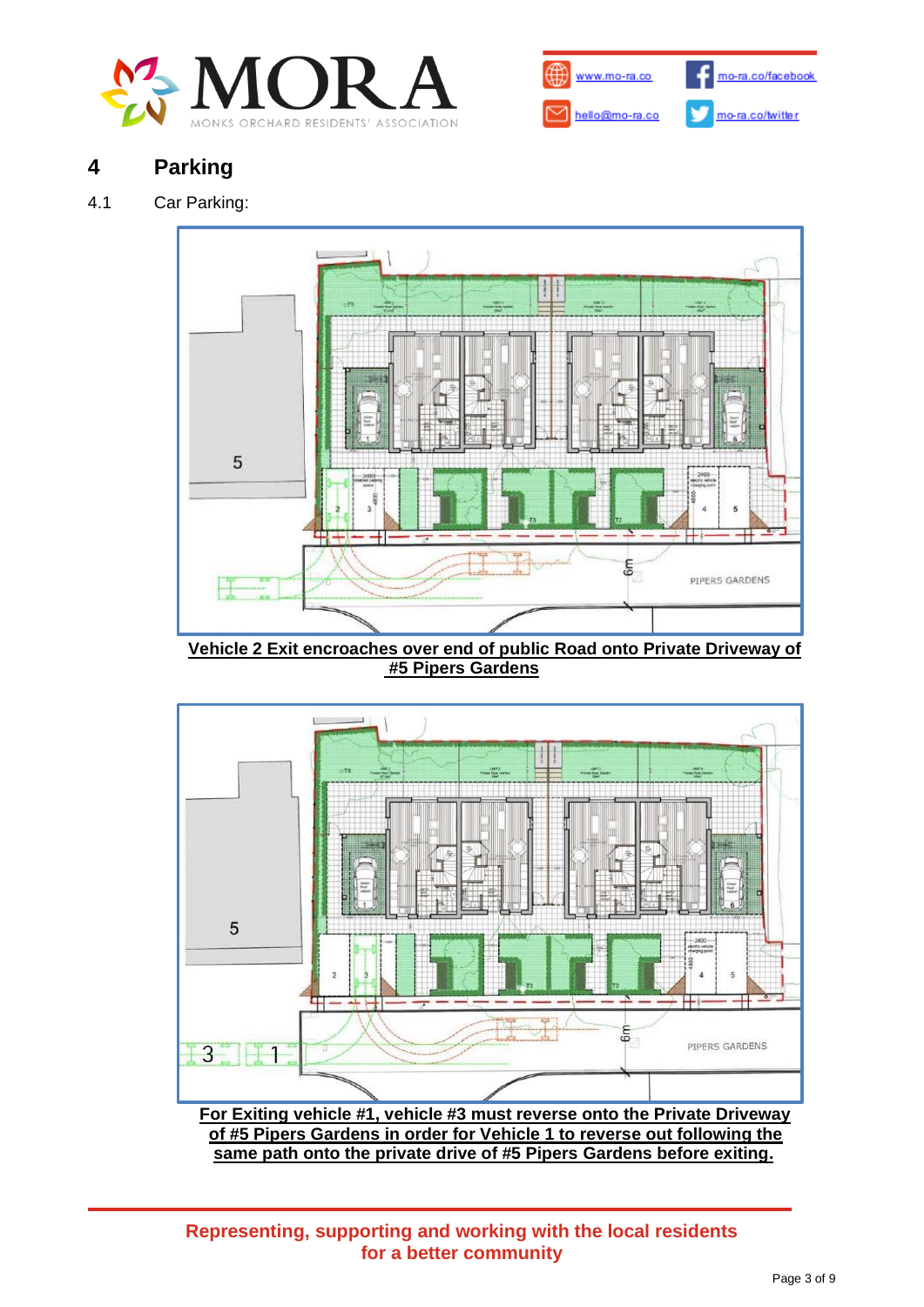



# **4 Parking**

## 4.1 Car Parking:



**Vehicle 2 Exit encroaches over end of public Road onto Private Driveway of #5 Pipers Gardens**

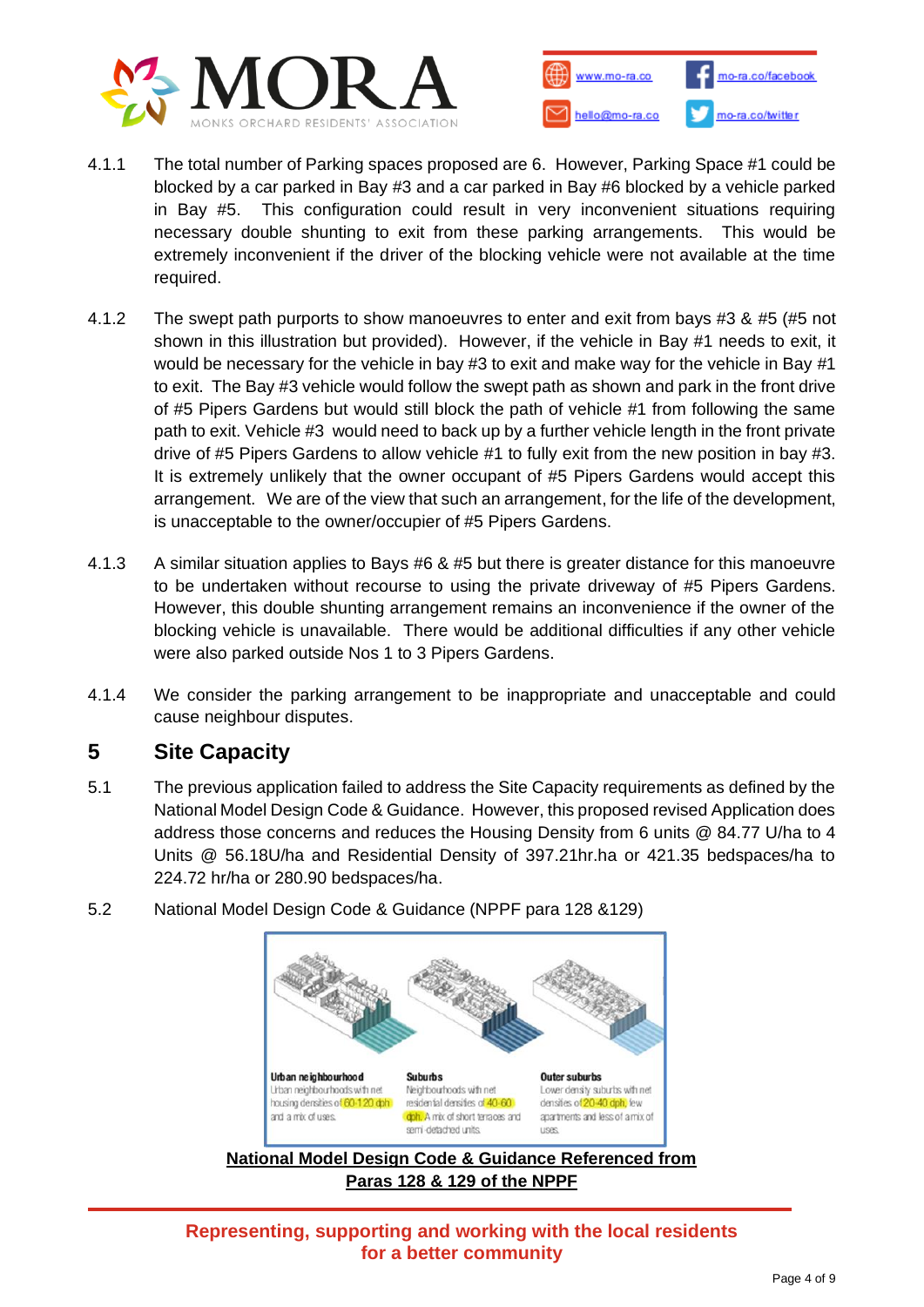



- 4.1.1 The total number of Parking spaces proposed are 6. However, Parking Space #1 could be blocked by a car parked in Bay #3 and a car parked in Bay #6 blocked by a vehicle parked in Bay #5. This configuration could result in very inconvenient situations requiring necessary double shunting to exit from these parking arrangements. This would be extremely inconvenient if the driver of the blocking vehicle were not available at the time required.
- 4.1.2 The swept path purports to show manoeuvres to enter and exit from bays #3 & #5 (#5 not shown in this illustration but provided). However, if the vehicle in Bay #1 needs to exit, it would be necessary for the vehicle in bay #3 to exit and make way for the vehicle in Bay #1 to exit. The Bay #3 vehicle would follow the swept path as shown and park in the front drive of #5 Pipers Gardens but would still block the path of vehicle #1 from following the same path to exit. Vehicle #3 would need to back up by a further vehicle length in the front private drive of #5 Pipers Gardens to allow vehicle #1 to fully exit from the new position in bay #3. It is extremely unlikely that the owner occupant of #5 Pipers Gardens would accept this arrangement. We are of the view that such an arrangement, for the life of the development, is unacceptable to the owner/occupier of #5 Pipers Gardens.
- 4.1.3 A similar situation applies to Bays #6 & #5 but there is greater distance for this manoeuvre to be undertaken without recourse to using the private driveway of #5 Pipers Gardens. However, this double shunting arrangement remains an inconvenience if the owner of the blocking vehicle is unavailable. There would be additional difficulties if any other vehicle were also parked outside Nos 1 to 3 Pipers Gardens.
- 4.1.4 We consider the parking arrangement to be inappropriate and unacceptable and could cause neighbour disputes.

# **5 Site Capacity**

- 5.1 The previous application failed to address the Site Capacity requirements as defined by the National Model Design Code & Guidance. However, this proposed revised Application does address those concerns and reduces the Housing Density from 6 units @ 84.77 U/ha to 4 Units @ 56.18U/ha and Residential Density of 397.21hr.ha or 421.35 bedspaces/ha to 224.72 hr/ha or 280.90 bedspaces/ha.
- 5.2 National Model Design Code & Guidance (NPPF para 128 &129)

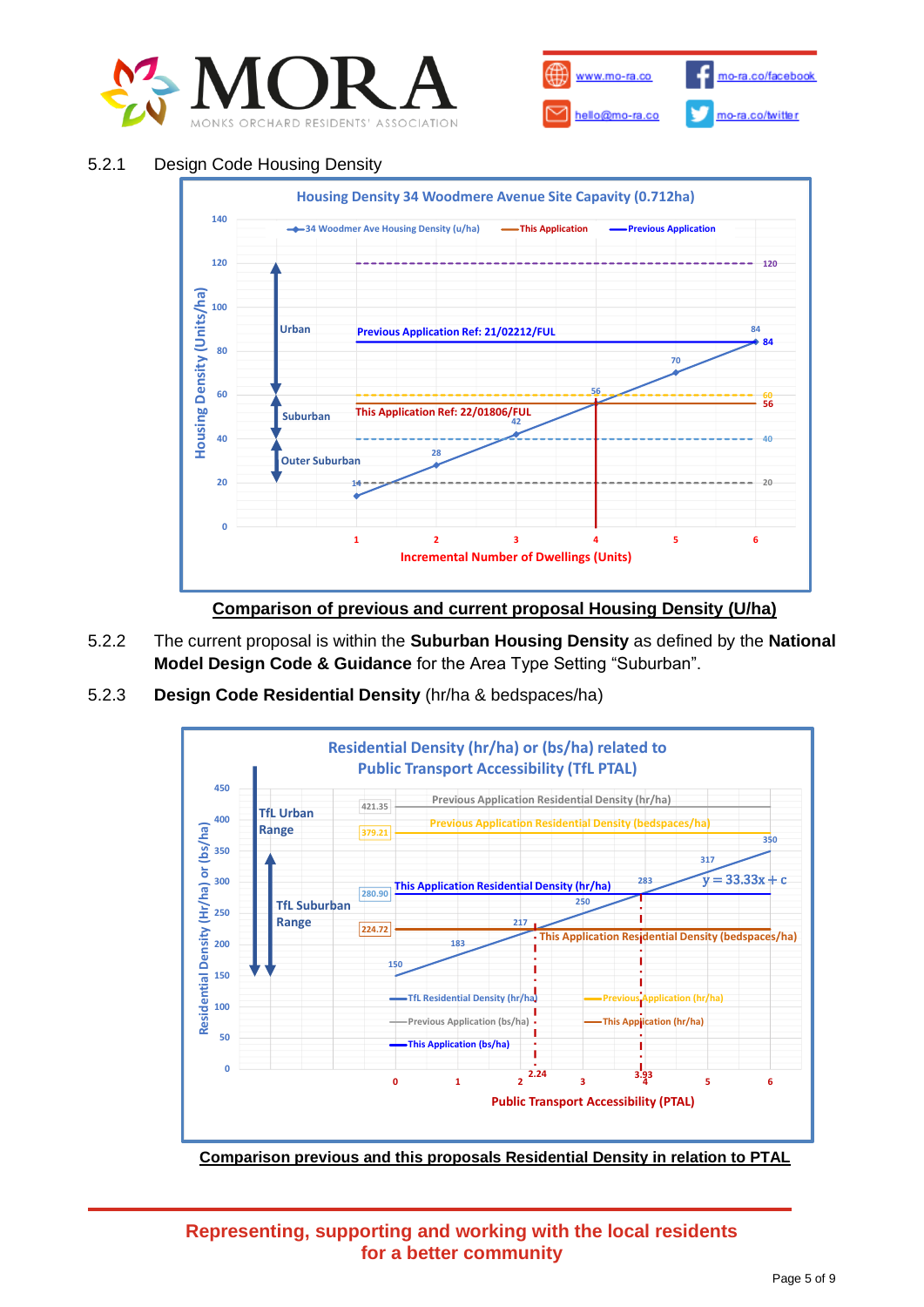



#### 5.2.1 Design Code Housing Density



- 5.2.2 The current proposal is within the **Suburban Housing Density** as defined by the **National Model Design Code & Guidance** for the Area Type Setting "Suburban".
- 5.2.3 **Design Code Residential Density** (hr/ha & bedspaces/ha)



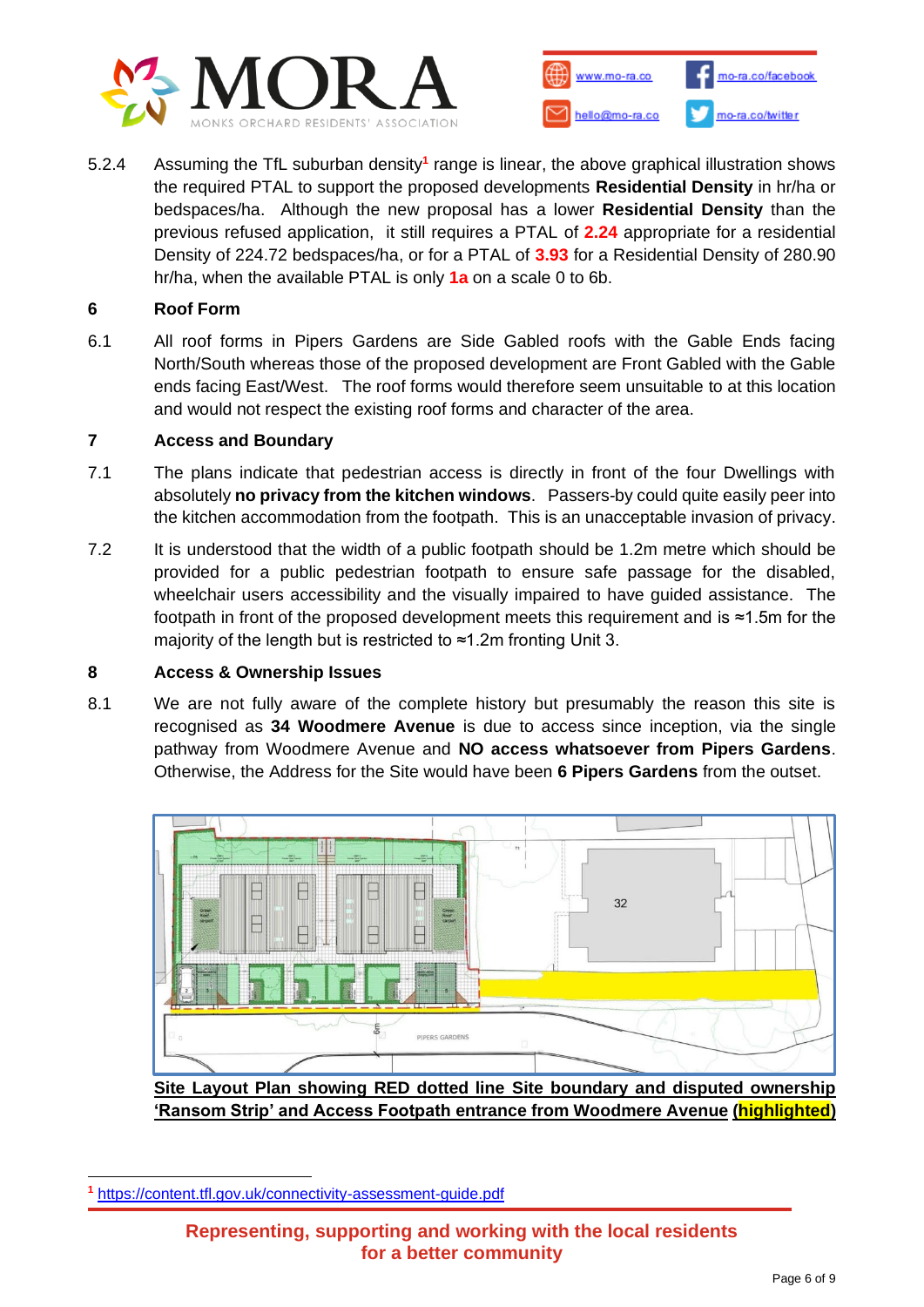



5.2.4 Assuming the TfL suburban density**<sup>1</sup>** range is linear, the above graphical illustration shows the required PTAL to support the proposed developments **Residential Density** in hr/ha or bedspaces/ha. Although the new proposal has a lower **Residential Density** than the previous refused application, it still requires a PTAL of **2.24** appropriate for a residential Density of 224.72 bedspaces/ha, or for a PTAL of **3.93** for a Residential Density of 280.90 hr/ha, when the available PTAL is only **1a** on a scale 0 to 6b.

### **6 Roof Form**

6.1 All roof forms in Pipers Gardens are Side Gabled roofs with the Gable Ends facing North/South whereas those of the proposed development are Front Gabled with the Gable ends facing East/West. The roof forms would therefore seem unsuitable to at this location and would not respect the existing roof forms and character of the area.

#### **7 Access and Boundary**

- 7.1 The plans indicate that pedestrian access is directly in front of the four Dwellings with absolutely **no privacy from the kitchen windows**. Passers-by could quite easily peer into the kitchen accommodation from the footpath. This is an unacceptable invasion of privacy.
- 7.2 It is understood that the width of a public footpath should be 1.2m metre which should be provided for a public pedestrian footpath to ensure safe passage for the disabled, wheelchair users accessibility and the visually impaired to have guided assistance. The footpath in front of the proposed development meets this requirement and is ≈1.5m for the majority of the length but is restricted to ≈1.2m fronting Unit 3.

#### **8 Access & Ownership Issues**

8.1 We are not fully aware of the complete history but presumably the reason this site is recognised as **34 Woodmere Avenue** is due to access since inception, via the single pathway from Woodmere Avenue and **NO access whatsoever from Pipers Gardens**. Otherwise, the Address for the Site would have been **6 Pipers Gardens** from the outset.



**Site Layout Plan showing RED dotted line Site boundary and disputed ownership 'Ransom Strip' and Access Footpath entrance from Woodmere Avenue (highlighted)**

**<sup>1</sup>** <https://content.tfl.gov.uk/connectivity-assessment-guide.pdf>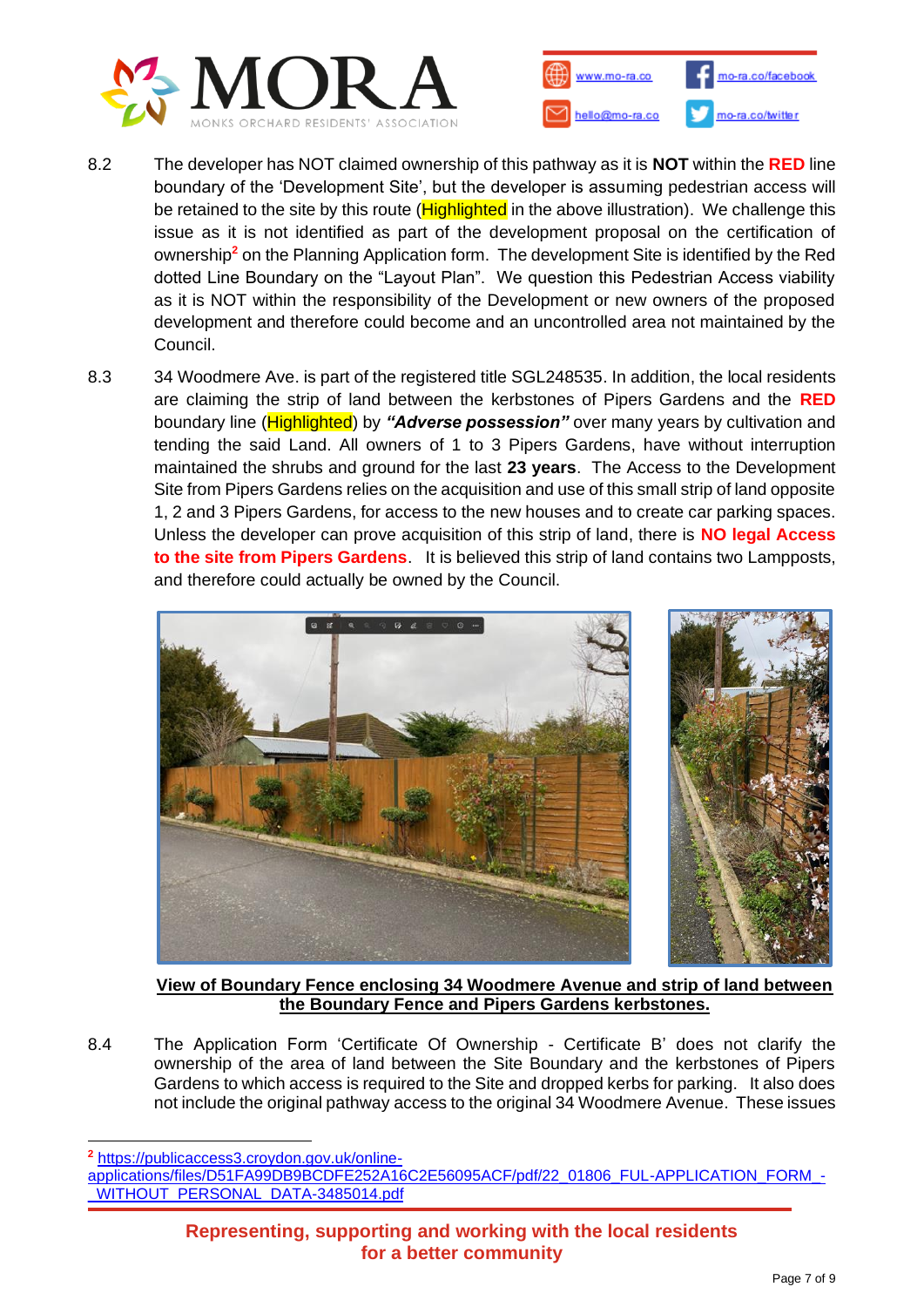



- 8.2 The developer has NOT claimed ownership of this pathway as it is **NOT** within the **RED** line boundary of the 'Development Site', but the developer is assuming pedestrian access will be retained to the site by this route (**Highlighted** in the above illustration). We challenge this issue as it is not identified as part of the development proposal on the certification of ownership**<sup>2</sup>** on the Planning Application form. The development Site is identified by the Red dotted Line Boundary on the "Layout Plan". We question this Pedestrian Access viability as it is NOT within the responsibility of the Development or new owners of the proposed development and therefore could become and an uncontrolled area not maintained by the Council.
- 8.3 34 Woodmere Ave. is part of the registered title SGL248535. In addition, the local residents are claiming the strip of land between the kerbstones of Pipers Gardens and the **RED** boundary line (Highlighted) by *"Adverse possession"* over many years by cultivation and tending the said Land. All owners of 1 to 3 Pipers Gardens, have without interruption maintained the shrubs and ground for the last **23 years**. The Access to the Development Site from Pipers Gardens relies on the acquisition and use of this small strip of land opposite 1, 2 and 3 Pipers Gardens, for access to the new houses and to create car parking spaces. Unless the developer can prove acquisition of this strip of land, there is **NO legal Access to the site from Pipers Gardens**. It is believed this strip of land contains two Lampposts, and therefore could actually be owned by the Council.



**View of Boundary Fence enclosing 34 Woodmere Avenue and strip of land between the Boundary Fence and Pipers Gardens kerbstones.**

8.4 The Application Form 'Certificate Of Ownership - Certificate B' does not clarify the ownership of the area of land between the Site Boundary and the kerbstones of Pipers Gardens to which access is required to the Site and dropped kerbs for parking. It also does not include the original pathway access to the original 34 Woodmere Avenue. These issues

**<sup>2</sup>** [https://publicaccess3.croydon.gov.uk/online-](https://publicaccess3.croydon.gov.uk/online-applications/files/D51FA99DB9BCDFE252A16C2E56095ACF/pdf/22_01806_FUL-APPLICATION_FORM_-_WITHOUT_PERSONAL_DATA-3485014.pdf)

[applications/files/D51FA99DB9BCDFE252A16C2E56095ACF/pdf/22\\_01806\\_FUL-APPLICATION\\_FORM\\_-](https://publicaccess3.croydon.gov.uk/online-applications/files/D51FA99DB9BCDFE252A16C2E56095ACF/pdf/22_01806_FUL-APPLICATION_FORM_-_WITHOUT_PERSONAL_DATA-3485014.pdf) [\\_WITHOUT\\_PERSONAL\\_DATA-3485014.pdf](https://publicaccess3.croydon.gov.uk/online-applications/files/D51FA99DB9BCDFE252A16C2E56095ACF/pdf/22_01806_FUL-APPLICATION_FORM_-_WITHOUT_PERSONAL_DATA-3485014.pdf)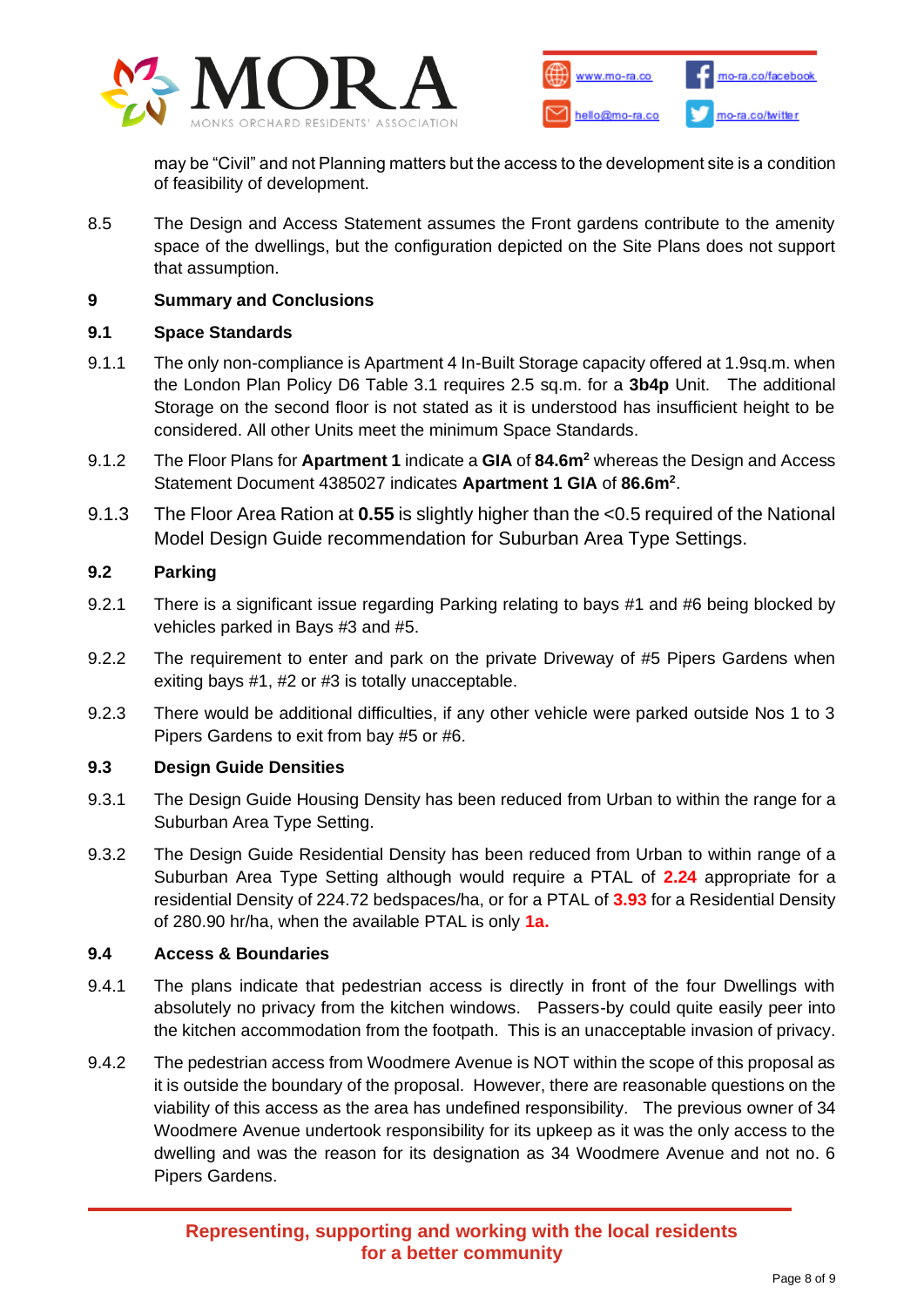



may be "Civil" and not Planning matters but the access to the development site is a condition of feasibility of development.

8.5 The Design and Access Statement assumes the Front gardens contribute to the amenity space of the dwellings, but the configuration depicted on the Site Plans does not support that assumption.

#### **9 Summary and Conclusions**

### **9.1 Space Standards**

- 9.1.1 The only non-compliance is Apartment 4 In-Built Storage capacity offered at 1.9sq.m. when the London Plan Policy D6 Table 3.1 requires 2.5 sq.m. for a **3b4p** Unit. The additional Storage on the second floor is not stated as it is understood has insufficient height to be considered. All other Units meet the minimum Space Standards.
- 9.1.2 The Floor Plans for **Apartment 1** indicate a **GIA** of **84.6m<sup>2</sup>** whereas the Design and Access Statement Document 4385027 indicates **Apartment 1 GIA** of **86.6m<sup>2</sup>** .
- 9.1.3 The Floor Area Ration at **0.55** is slightly higher than the <0.5 required of the National Model Design Guide recommendation for Suburban Area Type Settings.

## **9.2 Parking**

- 9.2.1 There is a significant issue regarding Parking relating to bays #1 and #6 being blocked by vehicles parked in Bays #3 and #5.
- 9.2.2 The requirement to enter and park on the private Driveway of #5 Pipers Gardens when exiting bays #1, #2 or #3 is totally unacceptable.
- 9.2.3 There would be additional difficulties, if any other vehicle were parked outside Nos 1 to 3 Pipers Gardens to exit from bay #5 or #6.

#### **9.3 Design Guide Densities**

- 9.3.1 The Design Guide Housing Density has been reduced from Urban to within the range for a Suburban Area Type Setting.
- 9.3.2 The Design Guide Residential Density has been reduced from Urban to within range of a Suburban Area Type Setting although would require a PTAL of **2.24** appropriate for a residential Density of 224.72 bedspaces/ha, or for a PTAL of **3.93** for a Residential Density of 280.90 hr/ha, when the available PTAL is only **1a.**

#### **9.4 Access & Boundaries**

- 9.4.1 The plans indicate that pedestrian access is directly in front of the four Dwellings with absolutely no privacy from the kitchen windows. Passers-by could quite easily peer into the kitchen accommodation from the footpath. This is an unacceptable invasion of privacy.
- 9.4.2 The pedestrian access from Woodmere Avenue is NOT within the scope of this proposal as it is outside the boundary of the proposal. However, there are reasonable questions on the viability of this access as the area has undefined responsibility. The previous owner of 34 Woodmere Avenue undertook responsibility for its upkeep as it was the only access to the dwelling and was the reason for its designation as 34 Woodmere Avenue and not no. 6 Pipers Gardens.